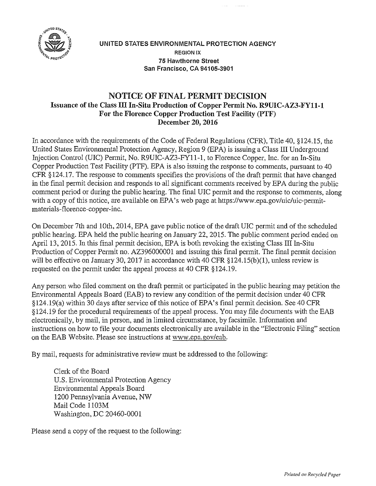

## UNITED STATES ENVIRONMENTAL PROTECTION AGENCY REGION IX 75 Hawthorne Street San Francisco, CA 94105-3901

## **NOTICE OF FINAL PERMIT DECISION Issuance of the Class** III **In-Situ Production of Copper Permit No. R9UIC-AZ3-FY11-1 For the Florence Copper Production Test Facility (PTF) December 20, 2016**

In accordance with the requirements of the Code of Federal Regulations (CFR), Title 40, §124.15, the United States Environmental Protection Agency, Region 9 (EPA) is issuing a Class III Underground Injection Control (UIC) Permit, No. R9UIC-AZ3-FY11-l, to Florence Copper, Inc. for an In-Situ Copper Production Test Facility (PTF). EPA is also issuing the response to comments, pursuant to 40 CFR § 124.17. The response to comments specifies the provisions of the draft permit that have changed in the final permit decision and responds to all significant comments received by EPA during the public comment period or during the public hearing. The final UIC permit and the response to comments, along with a copy of this notice, are available on EPA's web page at https://www.epa.gov/uic/uic-permitmaterials-florence-copper-inc.

On December 7th and 10th, 2014, EPA gave public notice of the draft UIC permit and of the scheduled public hearing. EPA held the public hearing on January 22, 2015. The public comment period ended on April 13, 2015. In this final permit decision, EPA is both revoking the existing Class III In-Situ Production of Copper Permit no. AZ396000001 and issuing this final permit. The final permit decision will be effective on January 30, 2017 in accordance with 40 CFR §124.15(b)(1), unless review is requested on the permit under the appeal process at 40 CFR §124.19.

Any person who filed comment on the draft permit or participated in the public hearing may petition the Environmental Appeals Board (EAB) to review any condition of the permit decision under 40 CFR  $§124.19(a)$  within 30 days after service of this notice of EPA's final permit decision. See 40 CFR §124.19 for the procedural requirements of the appeal process. You may file documents with the EAB electronically, by mail, in person, and in limited circumstance, by facsimile. Information and instructions on how to file your documents electronically are available in the "Electronic Filing" section on the EAB Website. Please see instructions at www.epa.gov/eab.

By mail, requests for administrative review must be addressed to the following:

Clerk of the Board U.S. Environmental Protection Agency Environmental Appeals Board 1200 Pennsylvania Avenue, NW Mail Code 1103M Washington, DC 20460-0001

Please send a copy of the request to the following: